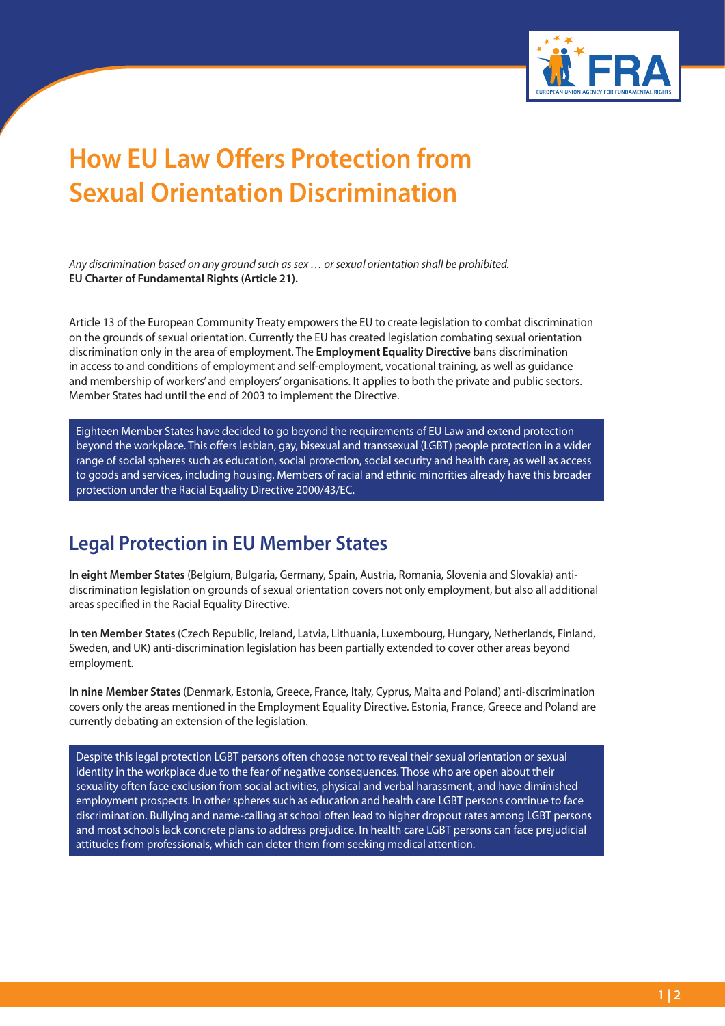

## **How EU Law Offers Protection from Sexual Orientation Discrimination**

*Any discrimination based on any ground such as sex … or sexual orientation shall be prohibited.* **EU Charter of Fundamental Rights (Article 21).**

Article 13 of the European Community Treaty empowers the EU to create legislation to combat discrimination on the grounds of sexual orientation. Currently the EU has created legislation combating sexual orientation discrimination only in the area of employment. The **Employment Equality Directive** bans discrimination in access to and conditions of employment and self-employment, vocational training, as well as guidance and membership of workers' and employers' organisations. It applies to both the private and public sectors. Member States had until the end of 2003 to implement the Directive.

Eighteen Member States have decided to go beyond the requirements of EU Law and extend protection beyond the workplace. This offers lesbian, gay, bisexual and transsexual (LGBT) people protection in a wider range of social spheres such as education, social protection, social security and health care, as well as access to goods and services, including housing. Members of racial and ethnic minorities already have this broader protection under the Racial Equality Directive 2000/43/EC.

## **Legal Protection in EU Member States**

**In eight Member States** (Belgium, Bulgaria, Germany, Spain, Austria, Romania, Slovenia and Slovakia) antidiscrimination legislation on grounds of sexual orientation covers not only employment, but also all additional areas specified in the Racial Equality Directive.

**In ten Member States** (Czech Republic, Ireland, Latvia, Lithuania, Luxembourg, Hungary, Netherlands, Finland, Sweden, and UK) anti-discrimination legislation has been partially extended to cover other areas beyond employment.

**In nine Member States** (Denmark, Estonia, Greece, France, Italy, Cyprus, Malta and Poland) anti-discrimination covers only the areas mentioned in the Employment Equality Directive. Estonia, France, Greece and Poland are currently debating an extension of the legislation.

Despite this legal protection LGBT persons often choose not to reveal their sexual orientation or sexual identity in the workplace due to the fear of negative consequences. Those who are open about their sexuality often face exclusion from social activities, physical and verbal harassment, and have diminished employment prospects. In other spheres such as education and health care LGBT persons continue to face discrimination. Bullying and name-calling at school often lead to higher dropout rates among LGBT persons and most schools lack concrete plans to address prejudice. In health care LGBT persons can face prejudicial attitudes from professionals, which can deter them from seeking medical attention.